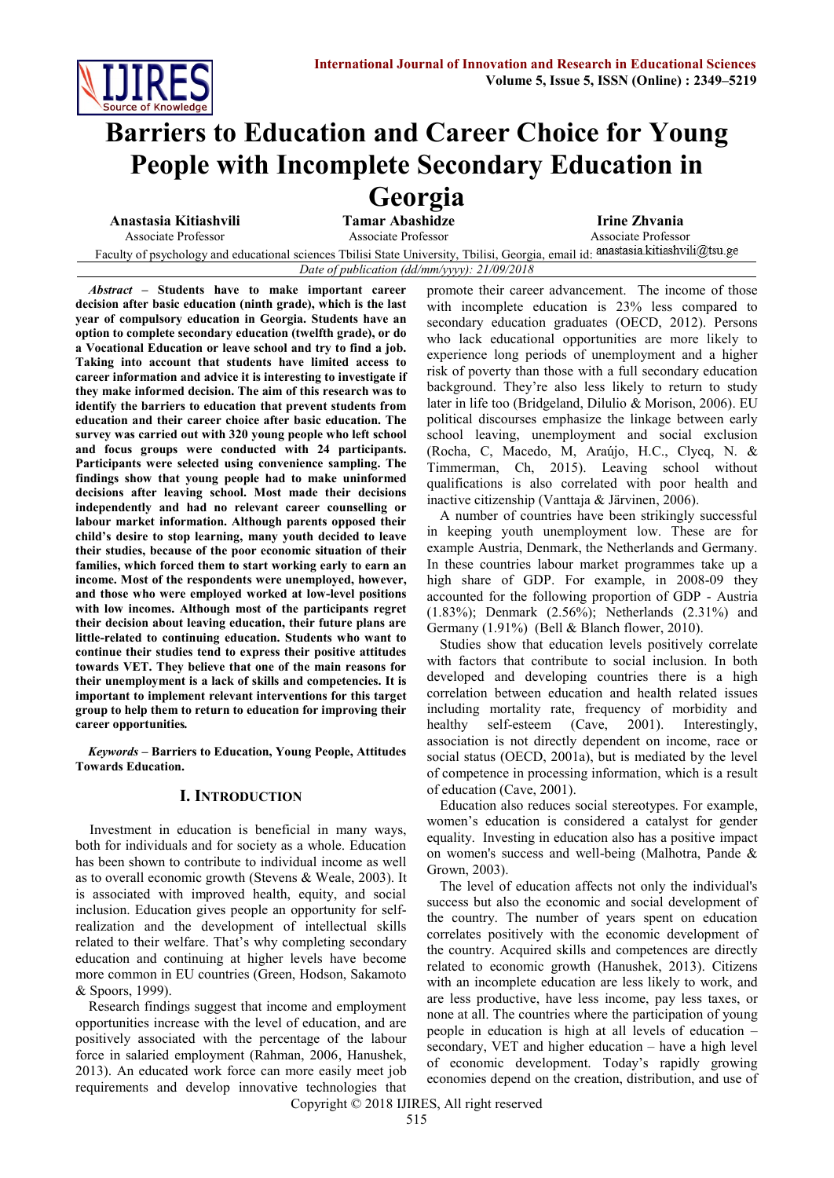

# **Barriers to Education and Career Choice for Young People with Incomplete Secondary Education in Georgia**<br>Tamar Abashidze

**Anastasia Kitiashvili Tamar Abashidze Irine Zhvania** Associate Professor Associate Professor Associate Professor

Faculty of psychology and educational sciences Tbilisi State University, Tbilisi, Georgia, email id: *Date of publication (dd/mm/yyyy): 21/09/2018*

*Abstract –* **Students have to make important career decision after basic education (ninth grade), which is the last year of compulsory education in Georgia. Students have an option to complete secondary education (twelfth grade), or do a Vocational Education or leave school and try to find a job. Taking into account that students have limited access to career information and advice it is interesting to investigate if they make informed decision. The aim of this research was to identify the barriers to education that prevent students from education and their career choice after basic education. The survey was carried out with 320 young people who left school and focus groups were conducted with 24 participants. Participants were selected using convenience sampling. The findings show that young people had to make uninformed decisions after leaving school. Most made their decisions independently and had no relevant career counselling or labour market information. Although parents opposed their child's desire to stop learning, many youth decided to leave their studies, because of the poor economic situation of their families, which forced them to start working early to earn an income. Most of the respondents were unemployed, however, and those who were employed worked at low-level positions with low incomes. Although most of the participants regret their decision about leaving education, their future plans are little-related to continuing education. Students who want to continue their studies tend to express their positive attitudes towards VET. They believe that one of the main reasons for their unemployment is a lack of skills and competencies. It is important to implement relevant interventions for this target group to help them to return to education for improving their career opportunities***.*

*Keywords* **– Barriers to Education, Young People, Attitudes Towards Education.**

## **I. INTRODUCTION**

 Investment in education is beneficial in many ways, both for individuals and for society as a whole. Education has been shown to contribute to individual income as well as to overall economic growth (Stevens & Weale, 2003). It is associated with improved health, equity, and social inclusion. Education gives people an opportunity for selfrealization and the development of intellectual skills related to their welfare. That's why completing secondary education and continuing at higher levels have become more common in EU countries (Green, Hodson, Sakamoto & Spoors, 1999).

Research findings suggest that income and employment opportunities increase with the level of education, and are positively associated with the percentage of the labour force in salaried employment (Rahman, 2006, Hanushek, 2013). An educated work force can more easily meet job requirements and develop innovative technologies that promote their career advancement. The income of those with incomplete education is 23% less compared to secondary education graduates (OECD, 2012). Persons who lack educational opportunities are more likely to experience long periods of unemployment and a higher risk of poverty than those with a full secondary education background. They're also less likely to return to study later in life too (Bridgeland, Dilulio & Morison, 2006). EU political discourses emphasize the linkage between early school leaving, unemployment and social exclusion (Rocha, C, Macedo, M, Araújo, H.C., Clycq, N. & Timmerman, Ch, 2015). Leaving school without qualifications is also correlated with poor health and inactive citizenship (Vanttaja & Järvinen, 2006).

A number of countries have been strikingly successful in keeping youth unemployment low. These are for example Austria, Denmark, the Netherlands and Germany. In these countries labour market programmes take up a high share of GDP. For example, in 2008-09 they accounted for the following proportion of GDP - Austria (1.83%); Denmark (2.56%); Netherlands (2.31%) and Germany (1.91%) (Bell & Blanch flower, 2010).

Studies show that education levels positively correlate with factors that contribute to social inclusion. In both developed and developing countries there is a high correlation between education and health related issues including mortality rate, frequency of morbidity and healthy self-esteem (Cave, 2001). Interestingly, association is not directly dependent on income, race or social status (OECD, 2001a), but is mediated by the level of competence in processing information, which is a result of education (Cave, 2001).

Education also reduces social stereotypes. For example, women's education is considered a catalyst for gender equality. Investing in education also has a positive impact on women's success and well-being (Malhotra, Pande & Grown, 2003).

The level of education affects not only the individual's success but also the economic and social development of the country. The number of years spent on education correlates positively with the economic development of the country. Acquired skills and competences are directly related to economic growth (Hanushek, 2013). Citizens with an incomplete education are less likely to work, and are less productive, have less income, pay less taxes, or none at all. The countries where the participation of young people in education is high at all levels of education – secondary, VET and higher education – have a high level of economic development. Today's rapidly growing economies depend on the creation, distribution, and use of

Copyright © 2018 IJIRES, All right reserved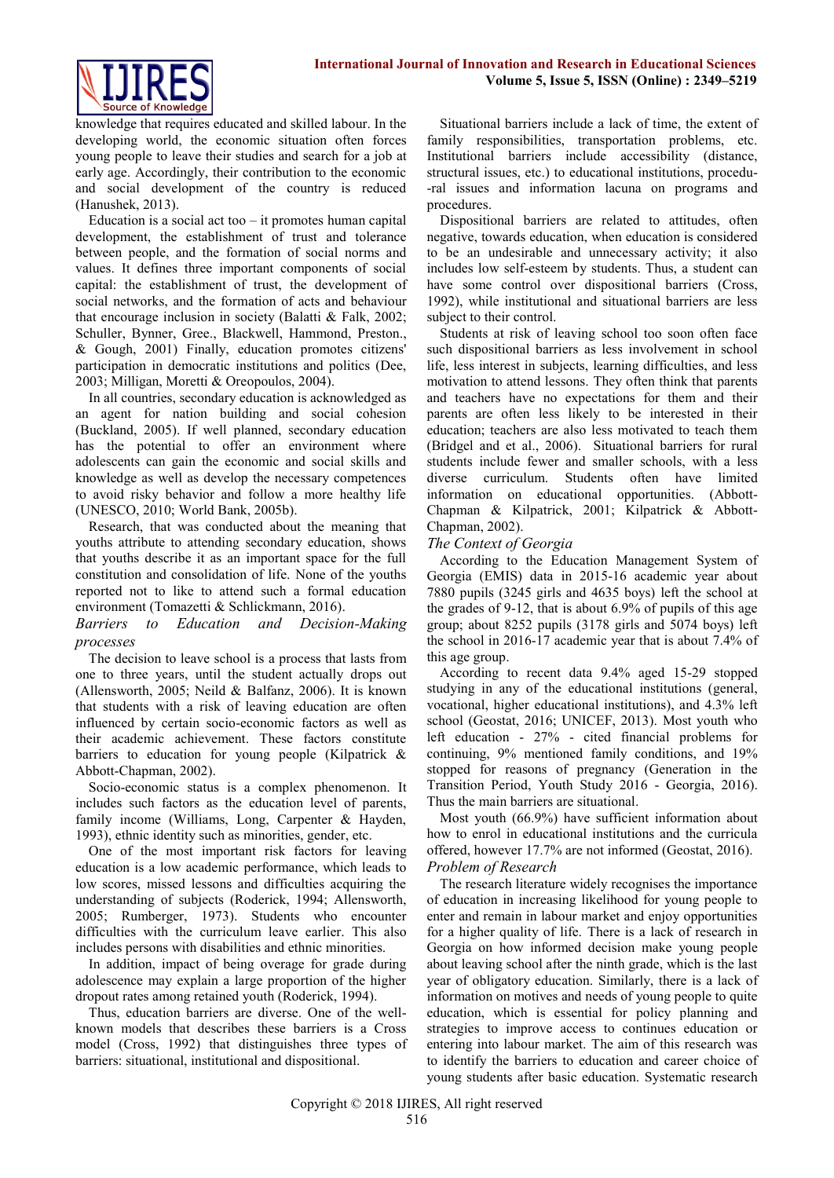

knowledge that requires educated and skilled labour. In the developing world, the economic situation often forces young people to leave their studies and search for a job at early age. Accordingly, their contribution to the economic and social development of the country is reduced (Hanushek, 2013).

Education is a social act too  $-$  it promotes human capital development, the establishment of trust and tolerance between people, and the formation of social norms and values. It defines three important components of social capital: the establishment of trust, the development of social networks, and the formation of acts and behaviour that encourage inclusion in society (Balatti & Falk, 2002; Schuller, Bynner, Gree., Blackwell, Hammond, Preston., & Gough, 2001) Finally, education promotes citizens' participation in democratic institutions and politics (Dee, 2003; Milligan, Moretti & Oreopoulos, 2004).

In all countries, secondary education is acknowledged as an agent for nation building and social cohesion (Buckland, 2005). If well planned, secondary education has the potential to offer an environment where adolescents can gain the economic and social skills and knowledge as well as develop the necessary competences to avoid risky behavior and follow a more healthy life (UNESCO, 2010; World Bank, 2005b).

Research, that was conducted about the meaning that youths attribute to attending secondary education, shows that youths describe it as an important space for the full constitution and consolidation of life. None of the youths reported not to like to attend such a formal education environment (Tomazetti & Schlickmann, 2016).

*Barriers to Education and Decision-Making processes*

The decision to leave school is a process that lasts from one to three years, until the student actually drops out (Allensworth, 2005; Neild & Balfanz, 2006). It is known that students with a risk of leaving education are often influenced by certain socio-economic factors as well as their academic achievement. These factors constitute barriers to education for young people (Kilpatrick & Abbott-Chapman, 2002).

Socio-economic status is a complex phenomenon. It includes such factors as the education level of parents, family income (Williams, Long, Carpenter & Hayden, 1993), ethnic identity such as minorities, gender, etc.

One of the most important risk factors for leaving education is a low academic performance, which leads to low scores, missed lessons and difficulties acquiring the understanding of subjects (Roderick, 1994; Allensworth, 2005; Rumberger, 1973). Students who encounter difficulties with the curriculum leave earlier. This also includes persons with disabilities and ethnic minorities.

In addition, impact of being overage for grade during adolescence may explain a large proportion of the higher dropout rates among retained youth (Roderick, 1994).

Thus, education barriers are diverse. One of the wellknown models that describes these barriers is a Cross model (Cross, 1992) that distinguishes three types of barriers: situational, institutional and dispositional.

Situational barriers include a lack of time, the extent of family responsibilities, transportation problems, etc. Institutional barriers include accessibility (distance, structural issues, etc.) to educational institutions, procedu- -ral issues and information lacuna on programs and procedures.

Dispositional barriers are related to attitudes, often negative, towards education, when education is considered to be an undesirable and unnecessary activity; it also includes low self-esteem by students. Thus, a student can have some control over dispositional barriers (Cross, 1992), while institutional and situational barriers are less subject to their control.

Students at risk of leaving school too soon often face such dispositional barriers as less involvement in school life, less interest in subjects, learning difficulties, and less motivation to attend lessons. They often think that parents and teachers have no expectations for them and their parents are often less likely to be interested in their education; teachers are also less motivated to teach them (Bridgel and et al., 2006). Situational barriers for rural students include fewer and smaller schools, with a less diverse curriculum. Students often have limited information on educational opportunities. (Abbott-Chapman & Kilpatrick, 2001; Kilpatrick & Abbott-Chapman, 2002).

*The Context of Georgia*

According to the Education Management System of Georgia (EMIS) data in 2015-16 academic year about 7880 pupils (3245 girls and 4635 boys) left the school at the grades of 9-12, that is about 6.9% of pupils of this age group; about 8252 pupils (3178 girls and 5074 boys) left the school in 2016-17 academic year that is about 7.4% of this age group.

According to recent data 9.4% aged 15-29 stopped studying in any of the educational institutions (general, vocational, higher educational institutions), and 4.3% left school (Geostat, 2016; UNICEF, 2013). Most youth who left education - 27% - cited financial problems for continuing, 9% mentioned family conditions, and 19% stopped for reasons of pregnancy (Generation in the Transition Period, Youth Study 2016 - Georgia, 2016). Thus the main barriers are situational.

Most youth (66.9%) have sufficient information about how to enrol in educational institutions and the curricula offered, however 17.7% are not informed (Geostat, 2016). *Problem of Research*

The research literature widely recognises the importance of education in increasing likelihood for young people to enter and remain in labour market and enjoy opportunities for a higher quality of life. There is a lack of research in Georgia on how informed decision make young people about leaving school after the ninth grade, which is the last year of obligatory education. Similarly, there is a lack of information on motives and needs of young people to quite education, which is essential for policy planning and strategies to improve access to continues education or entering into labour market. The aim of this research was to identify the barriers to education and career choice of young students after basic education. Systematic research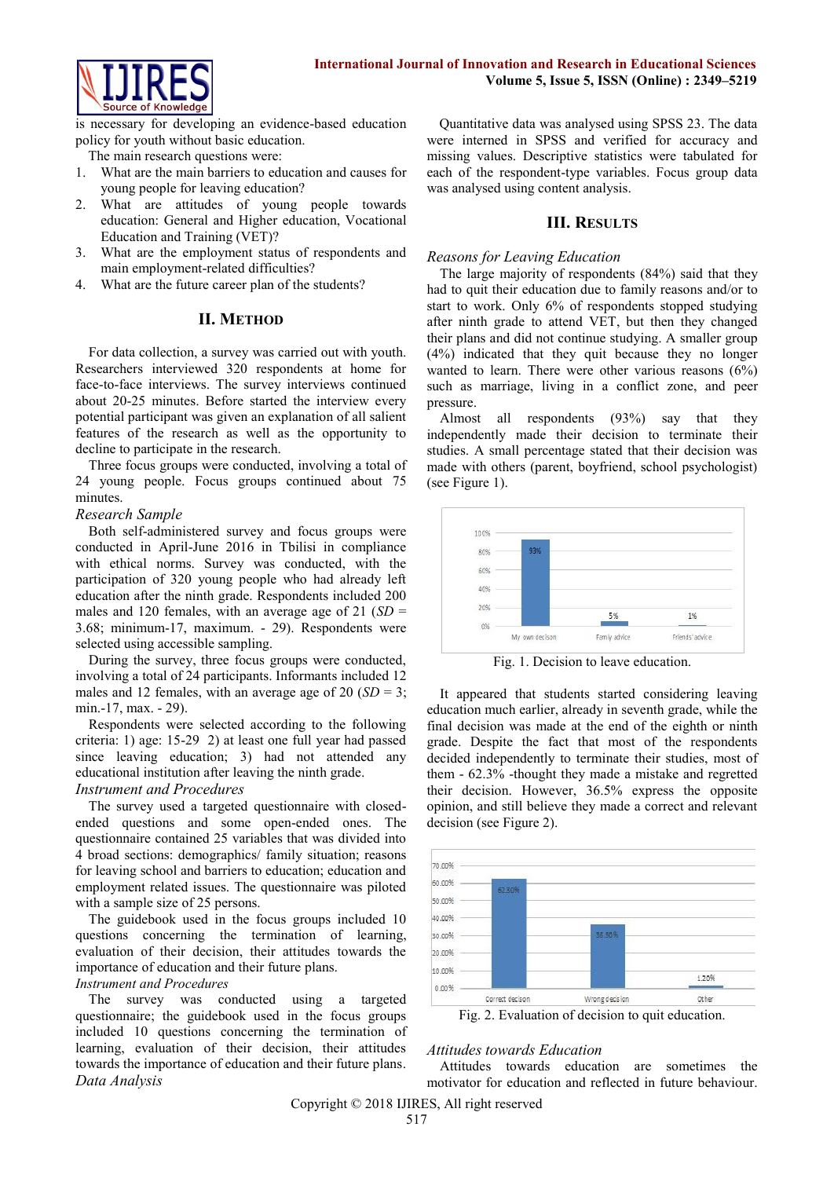

is necessary for developing an evidence-based education policy for youth without basic education.

The main research questions were:

- 1. What are the main barriers to education and causes for young people for leaving education?
- 2. What are attitudes of young people towards education: General and Higher education, Vocational Education and Training (VET)?
- 3. What are the employment status of respondents and main employment-related difficulties?
- 4. What are the future career plan of the students?

# **II. METHOD**

For data collection, a survey was carried out with youth. Researchers interviewed 320 respondents at home for face-to-face interviews. The survey interviews continued about 20-25 minutes. Before started the interview every potential participant was given an explanation of all salient features of the research as well as the opportunity to decline to participate in the research.

Three focus groups were conducted, involving a total of 24 young people. Focus groups continued about 75 minutes.

# *Research Sample*

Both self-administered survey and focus groups were conducted in April-June 2016 in Tbilisi in compliance with ethical norms. Survey was conducted, with the participation of 320 young people who had already left education after the ninth grade. Respondents included 200 males and 120 females, with an average age of 21 (*SD* = 3.68; minimum-17, maximum. - 29). Respondents were selected using accessible sampling.

During the survey, three focus groups were conducted, involving a total of 24 participants. Informants included 12 males and 12 females, with an average age of 20 (*SD* = 3; min.-17, max. - 29).

Respondents were selected according to the following criteria: 1) age: 15-29 2) at least one full year had passed since leaving education; 3) had not attended any educational institution after leaving the ninth grade.

# *Instrument and Procedures*

The survey used a targeted questionnaire with closedended questions and some open-ended ones. The questionnaire contained 25 variables that was divided into 4 broad sections: demographics/ family situation; reasons for leaving school and barriers to education; education and employment related issues. The questionnaire was piloted with a sample size of 25 persons.

The guidebook used in the focus groups included 10 questions concerning the termination of learning, evaluation of their decision, their attitudes towards the importance of education and their future plans.

## *Instrument and Procedures*

The survey was conducted using a targeted questionnaire; the guidebook used in the focus groups included 10 questions concerning the termination of learning, evaluation of their decision, their attitudes towards the importance of education and their future plans. *Data Analysis*

Quantitative data was analysed using SPSS 23. The data were interned in SPSS and verified for accuracy and missing values. Descriptive statistics were tabulated for each of the respondent-type variables. Focus group data was analysed using content analysis.

# **III. RESULTS**

## *Reasons for Leaving Education*

The large majority of respondents (84%) said that they had to quit their education due to family reasons and/or to start to work. Only 6% of respondents stopped studying after ninth grade to attend VET, but then they changed their plans and did not continue studying. A smaller group (4%) indicated that they quit because they no longer wanted to learn. There were other various reasons (6%) such as marriage, living in a conflict zone, and peer pressure.

Almost all respondents (93%) say that they independently made their decision to terminate their studies. A small percentage stated that their decision was made with others (parent, boyfriend, school psychologist) (see Figure 1).



Fig. 1. Decision to leave education.

It appeared that students started considering leaving education much earlier, already in seventh grade, while the final decision was made at the end of the eighth or ninth grade. Despite the fact that most of the respondents decided independently to terminate their studies, most of them - 62.3% -thought they made a mistake and regretted their decision. However, 36.5% express the opposite opinion, and still believe they made a correct and relevant decision (see Figure 2).



Fig. 2. Evaluation of decision to quit education.

# *Attitudes towards Education*

Attitudes towards education are sometimes the motivator for education and reflected in future behaviour.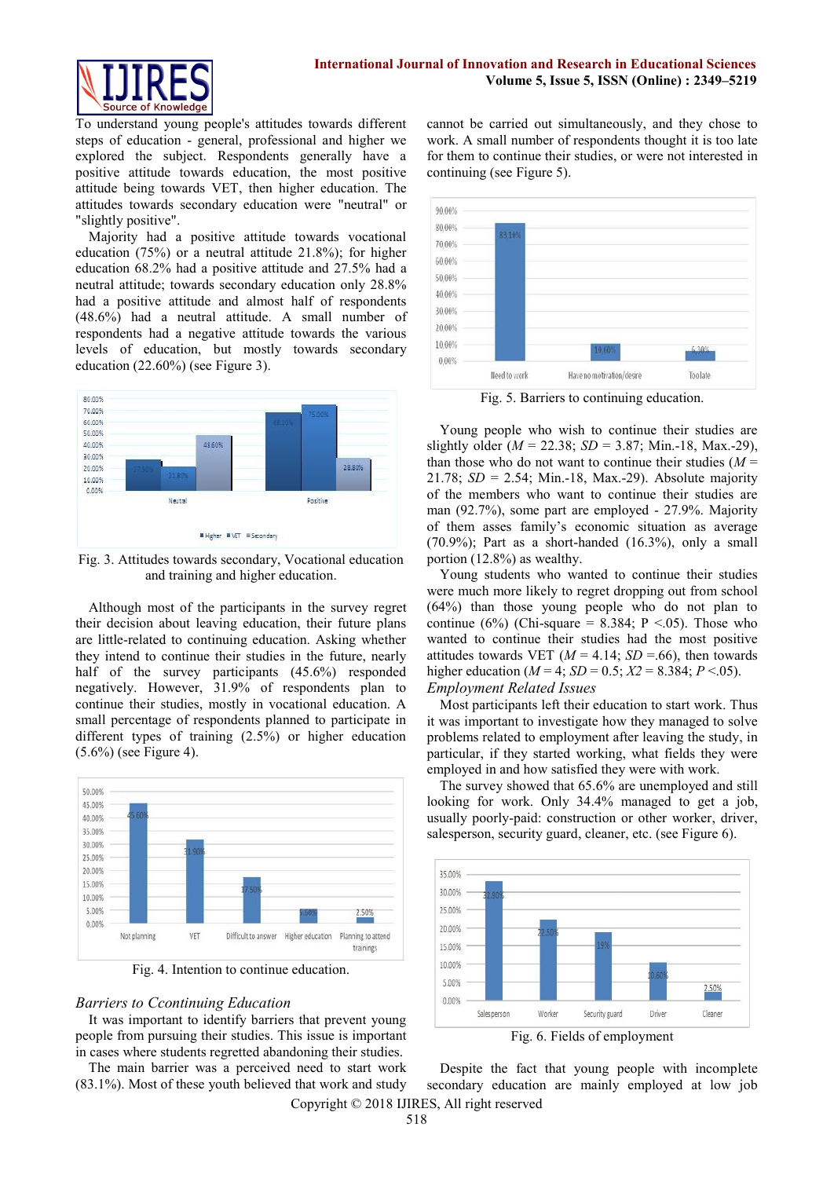To understand young people's attitudes towards different steps of education - general, professional and higher we explored the subject. Respondents generally have a positive attitude towards education, the most positive attitude being towards VET, then higher education. The attitudes towards secondary education were "neutral" or "slightly positive".

Majority had a positive attitude towards vocational education (75%) or a neutral attitude 21.8%); for higher education 68.2% had a positive attitude and 27.5% had a neutral attitude; towards secondary education only 28.8% had a positive attitude and almost half of respondents (48.6%) had a neutral attitude. A small number of respondents had a negative attitude towards the various levels of education, but mostly towards secondary education (22.60%) (see Figure 3).



Fig. 3. Attitudes towards secondary, Vocational education and training and higher education.

Although most of the participants in the survey regret their decision about leaving education, their future plans are little-related to continuing education. Asking whether they intend to continue their studies in the future, nearly half of the survey participants (45.6%) responded negatively. However, 31.9% of respondents plan to continue their studies, mostly in vocational education. A small percentage of respondents planned to participate in different types of training (2.5%) or higher education (5.6%) (see Figure 4).



Fig. 4. Intention to continue education.

## *Barriers to Ccontinuing Education*

It was important to identify barriers that prevent young people from pursuing their studies. This issue is important in cases where students regretted abandoning their studies.

The main barrier was a perceived need to start work (83.1%). Most of these youth believed that work and study cannot be carried out simultaneously, and they chose to work. A small number of respondents thought it is too late for them to continue their studies, or were not interested in continuing (see Figure 5).



Fig. 5. Barriers to continuing education.

Young people who wish to continue their studies are slightly older  $(M = 22.38; SD = 3.87; Min.-18, Max.-29)$ , than those who do not want to continue their studies  $(M =$ 21.78; *SD* = 2.54; Min.-18, Max.-29). Absolute majority of the members who want to continue their studies are man (92.7%), some part are employed - 27.9%. Majority of them asses family's economic situation as average (70.9%); Part as a short-handed (16.3%), only a small portion (12.8%) as wealthy.

Young students who wanted to continue their studies were much more likely to regret dropping out from school (64%) than those young people who do not plan to continue (6%) (Chi-square = 8.384; P <.05). Those who wanted to continue their studies had the most positive attitudes towards VET  $(M = 4.14; SD = .66)$ , then towards higher education ( $M = 4$ ;  $SD = 0.5$ ;  $X2 = 8.384$ ;  $P < .05$ ).

# *Employment Related Issues*

Most participants left their education to start work. Thus it was important to investigate how they managed to solve problems related to employment after leaving the study, in particular, if they started working, what fields they were employed in and how satisfied they were with work.

The survey showed that 65.6% are unemployed and still looking for work. Only 34.4% managed to get a job, usually poorly-paid: construction or other worker, driver, salesperson, security guard, cleaner, etc. (see Figure 6).



Fig. 6. Fields of employment

Copyright © 2018 IJIRES, All right reserved Despite the fact that young people with incomplete secondary education are mainly employed at low job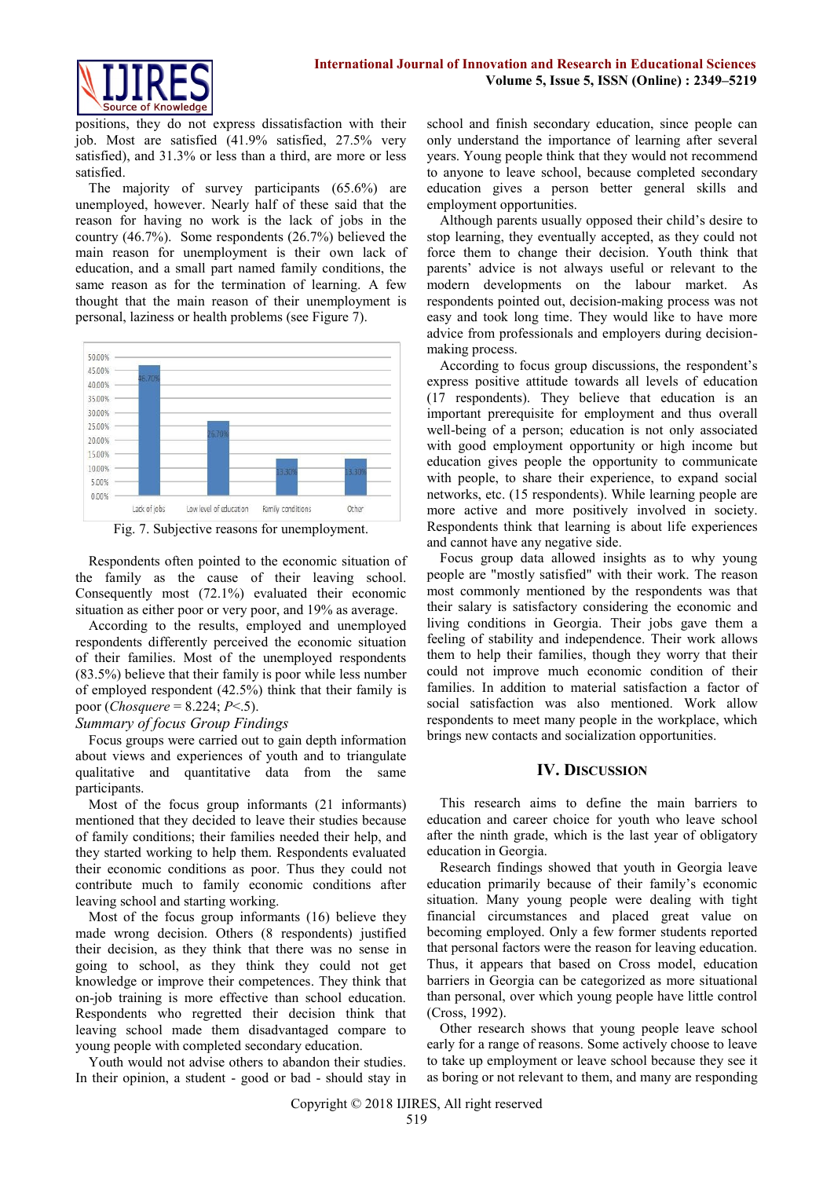

positions, they do not express dissatisfaction with their job. Most are satisfied (41.9% satisfied, 27.5% very satisfied), and 31.3% or less than a third, are more or less satisfied.

The majority of survey participants (65.6%) are unemployed, however. Nearly half of these said that the reason for having no work is the lack of jobs in the country (46.7%). Some respondents (26.7%) believed the main reason for unemployment is their own lack of education, and a small part named family conditions, the same reason as for the termination of learning. A few thought that the main reason of their unemployment is personal, laziness or health problems (see Figure 7).



Fig. 7. Subjective reasons for unemployment.

Respondents often pointed to the economic situation of the family as the cause of their leaving school. Consequently most (72.1%) evaluated their economic situation as either poor or very poor, and 19% as average.

According to the results, employed and unemployed respondents differently perceived the economic situation of their families. Most of the unemployed respondents (83.5%) believe that their family is poor while less number of employed respondent (42.5%) think that their family is poor (*Chosquere* = 8.224; *P*<.5).

# *Summary of focus Group Findings*

Focus groups were carried out to gain depth information about views and experiences of youth and to triangulate qualitative and quantitative data from the same participants.

Most of the focus group informants (21 informants) mentioned that they decided to leave their studies because of family conditions; their families needed their help, and they started working to help them. Respondents evaluated their economic conditions as poor. Thus they could not contribute much to family economic conditions after leaving school and starting working.

Most of the focus group informants (16) believe they made wrong decision. Others (8 respondents) justified their decision, as they think that there was no sense in going to school, as they think they could not get knowledge or improve their competences. They think that on-job training is more effective than school education. Respondents who regretted their decision think that leaving school made them disadvantaged compare to young people with completed secondary education.

Youth would not advise others to abandon their studies. In their opinion, a student - good or bad - should stay in school and finish secondary education, since people can only understand the importance of learning after several years. Young people think that they would not recommend to anyone to leave school, because completed secondary education gives a person better general skills and employment opportunities.

Although parents usually opposed their child's desire to stop learning, they eventually accepted, as they could not force them to change their decision. Youth think that parents' advice is not always useful or relevant to the modern developments on the labour market. As respondents pointed out, decision-making process was not easy and took long time. They would like to have more advice from professionals and employers during decisionmaking process.

According to focus group discussions, the respondent's express positive attitude towards all levels of education (17 respondents). They believe that education is an important prerequisite for employment and thus overall well-being of a person; education is not only associated with good employment opportunity or high income but education gives people the opportunity to communicate with people, to share their experience, to expand social networks, etc. (15 respondents). While learning people are more active and more positively involved in society. Respondents think that learning is about life experiences and cannot have any negative side.

Focus group data allowed insights as to why young people are "mostly satisfied" with their work. The reason most commonly mentioned by the respondents was that their salary is satisfactory considering the economic and living conditions in Georgia. Their jobs gave them a feeling of stability and independence. Their work allows them to help their families, though they worry that their could not improve much economic condition of their families. In addition to material satisfaction a factor of social satisfaction was also mentioned. Work allow respondents to meet many people in the workplace, which brings new contacts and socialization opportunities.

## **IV. DISCUSSION**

This research aims to define the main barriers to education and career choice for youth who leave school after the ninth grade, which is the last year of obligatory education in Georgia.

Research findings showed that youth in Georgia leave education primarily because of their family's economic situation. Many young people were dealing with tight financial circumstances and placed great value on becoming employed. Only a few former students reported that personal factors were the reason for leaving education. Thus, it appears that based on Cross model, education barriers in Georgia can be categorized as more situational than personal, over which young people have little control (Cross, 1992).

Other research shows that young people leave school early for a range of reasons. Some actively choose to leave to take up employment or leave school because they see it as boring or not relevant to them, and many are responding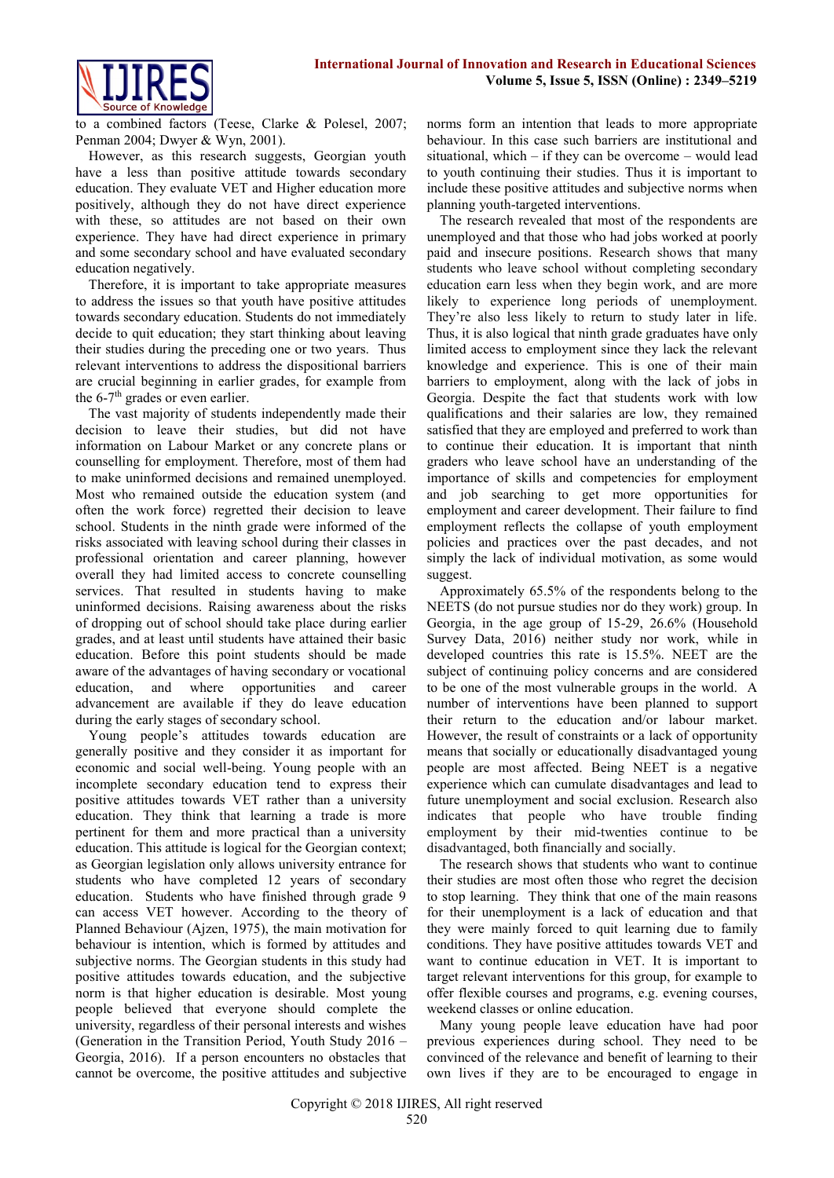

to a combined factors (Teese, Clarke & Polesel, 2007; Penman 2004; Dwyer & Wyn, 2001).

However, as this research suggests, Georgian youth have a less than positive attitude towards secondary education. They evaluate VET and Higher education more positively, although they do not have direct experience with these, so attitudes are not based on their own experience. They have had direct experience in primary and some secondary school and have evaluated secondary education negatively.

Therefore, it is important to take appropriate measures to address the issues so that youth have positive attitudes towards secondary education. Students do not immediately decide to quit education; they start thinking about leaving their studies during the preceding one or two years. Thus relevant interventions to address the dispositional barriers are crucial beginning in earlier grades, for example from the 6-7<sup>th</sup> grades or even earlier.

The vast majority of students independently made their decision to leave their studies, but did not have information on Labour Market or any concrete plans or counselling for employment. Therefore, most of them had to make uninformed decisions and remained unemployed. Most who remained outside the education system (and often the work force) regretted their decision to leave school. Students in the ninth grade were informed of the risks associated with leaving school during their classes in professional orientation and career planning, however overall they had limited access to concrete counselling services. That resulted in students having to make uninformed decisions. Raising awareness about the risks of dropping out of school should take place during earlier grades, and at least until students have attained their basic education. Before this point students should be made aware of the advantages of having secondary or vocational education, and where opportunities and career advancement are available if they do leave education during the early stages of secondary school.

Young people's attitudes towards education are generally positive and they consider it as important for economic and social well-being. Young people with an incomplete secondary education tend to express their positive attitudes towards VET rather than a university education. They think that learning a trade is more pertinent for them and more practical than a university education. This attitude is logical for the Georgian context; as Georgian legislation only allows university entrance for students who have completed 12 years of secondary education. Students who have finished through grade 9 can access VET however. According to the theory of Planned Behaviour (Ajzen, 1975), the main motivation for behaviour is intention, which is formed by attitudes and subjective norms. The Georgian students in this study had positive attitudes towards education, and the subjective norm is that higher education is desirable. Most young people believed that everyone should complete the university, regardless of their personal interests and wishes (Generation in the Transition Period, Youth Study 2016 – Georgia, 2016). If a person encounters no obstacles that cannot be overcome, the positive attitudes and subjective

norms form an intention that leads to more appropriate behaviour. In this case such barriers are institutional and situational, which – if they can be overcome – would lead to youth continuing their studies. Thus it is important to include these positive attitudes and subjective norms when planning youth-targeted interventions.

The research revealed that most of the respondents are unemployed and that those who had jobs worked at poorly paid and insecure positions. Research shows that many students who leave school without completing secondary education earn less when they begin work, and are more likely to experience long periods of unemployment. They're also less likely to return to study later in life. Thus, it is also logical that ninth grade graduates have only limited access to employment since they lack the relevant knowledge and experience. This is one of their main barriers to employment, along with the lack of jobs in Georgia. Despite the fact that students work with low qualifications and their salaries are low, they remained satisfied that they are employed and preferred to work than to continue their education. It is important that ninth graders who leave school have an understanding of the importance of skills and competencies for employment and job searching to get more opportunities for employment and career development. Their failure to find employment reflects the collapse of youth employment policies and practices over the past decades, and not simply the lack of individual motivation, as some would suggest.

Approximately 65.5% of the respondents belong to the NEETS (do not pursue studies nor do they work) group. In Georgia, in the age group of 15-29, 26.6% (Household Survey Data, 2016) neither study nor work, while in developed countries this rate is 15.5%. NEET are the subject of continuing policy concerns and are considered to be one of the most vulnerable groups in the world. A number of interventions have been planned to support their return to the education and/or labour market. However, the result of constraints or a lack of opportunity means that socially or educationally disadvantaged young people are most affected. Being NEET is a negative experience which can cumulate disadvantages and lead to future unemployment and social exclusion. Research also indicates that people who have trouble finding employment by their mid-twenties continue to be disadvantaged, both financially and socially.

The research shows that students who want to continue their studies are most often those who regret the decision to stop learning. They think that one of the main reasons for their unemployment is a lack of education and that they were mainly forced to quit learning due to family conditions. They have positive attitudes towards VET and want to continue education in VET. It is important to target relevant interventions for this group, for example to offer flexible courses and programs, e.g. evening courses, weekend classes or online education.

Many young people leave education have had poor previous experiences during school. They need to be convinced of the relevance and benefit of learning to their own lives if they are to be encouraged to engage in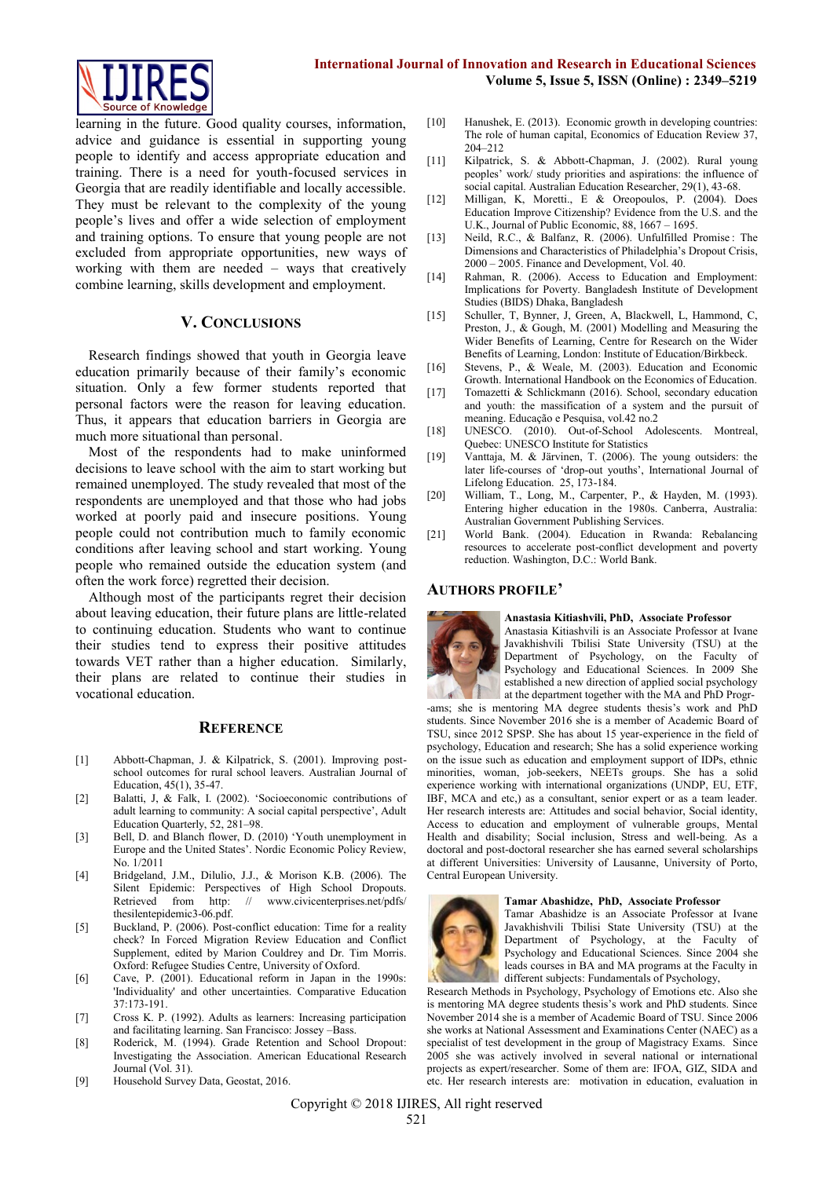

learning in the future. Good quality courses, information, advice and guidance is essential in supporting young people to identify and access appropriate education and training. There is a need for youth-focused services in Georgia that are readily identifiable and locally accessible. They must be relevant to the complexity of the young people's lives and offer a wide selection of employment and training options. To ensure that young people are not excluded from appropriate opportunities, new ways of working with them are needed – ways that creatively combine learning, skills development and employment.

#### **V. CONCLUSIONS**

Research findings showed that youth in Georgia leave education primarily because of their family's economic situation. Only a few former students reported that personal factors were the reason for leaving education. Thus, it appears that education barriers in Georgia are much more situational than personal.

Most of the respondents had to make uninformed decisions to leave school with the aim to start working but remained unemployed. The study revealed that most of the respondents are unemployed and that those who had jobs worked at poorly paid and insecure positions. Young people could not contribution much to family economic conditions after leaving school and start working. Young people who remained outside the education system (and often the work force) regretted their decision.

Although most of the participants regret their decision about leaving education, their future plans are little-related to continuing education. Students who want to continue their studies tend to express their positive attitudes towards VET rather than a higher education. Similarly, their plans are related to continue their studies in vocational education.

#### **REFERENCE**

- [1] Abbott-Chapman, J. & Kilpatrick, S. (2001). Improving postschool outcomes for rural school leavers. Australian Journal of Education, 45(1), 35-47.
- [2] Balatti, J, & Falk, I. (2002). 'Socioeconomic contributions of adult learning to community: A social capital perspective', Adult Education Quarterly, 52, 281–98.
- [3] Bell, D. and Blanch flower, D. (2010) 'Youth unemployment in Europe and the United States'. Nordic Economic Policy Review, No. 1/2011
- [4] Bridgeland, J.M., Dilulio, J.J., & Morison K.B. (2006). The Silent Epidemic: Perspectives of High School Dropouts.<br>Retrieved from http: // www.civicenterprises.net/pdfs/ // www.civicenterprises.net/pdfs/ thesilentepidemic3-06.pdf.
- [5] Buckland, P. (2006). Post-conflict education: Time for a reality check? In Forced Migration Review Education and Conflict Supplement, edited by Marion Couldrey and Dr. Tim Morris. Oxford: Refugee Studies Centre, University of Oxford.
- [6] Cave, P. (2001). Educational reform in Japan in the 1990s: 'Individuality' and other uncertainties. Comparative Education 37:173-191.
- [7] Cross K. P. (1992). Adults as learners: Increasing participation and facilitating learning. San Francisco: Jossey –Bass.
- [8] Roderick, M. (1994). Grade Retention and School Dropout: Investigating the Association. American Educational Research Journal (Vol. 31).
- [9] Household Survey Data, Geostat, 2016.
- [10] Hanushek, E. (2013). Economic growth in developing countries: The role of human capital, Economics of Education Review 37, 204–212
- [11] Kilpatrick, S. & Abbott-Chapman, J. (2002). Rural young peoples' work/ study priorities and aspirations: the influence of social capital. Australian Education Researcher, 29(1), 43-68.
- [12] Milligan, K, Moretti., E & Oreopoulos, P. (2004). Does Education Improve Citizenship? Evidence from the U.S. and the U.K., Journal of Public Economic, 88, 1667 – 1695.
- [13] Neild, R.C., & Balfanz, R. (2006). Unfulfilled Promise: The Dimensions and Characteristics of Philadelphia's Dropout Crisis, 2000 – 2005. Finance and Development, Vol. 40.
- [14] Rahman, R. (2006). Access to Education and Employment: Implications for Poverty. Bangladesh Institute of Development Studies (BIDS) Dhaka, Bangladesh
- [15] Schuller, T, Bynner, J, Green, A, Blackwell, L, Hammond, C, Preston, J., & Gough, M. (2001) Modelling and Measuring the Wider Benefits of Learning, Centre for Research on the Wider Benefits of Learning, London: Institute of Education/Birkbeck.
- [16] Stevens, P., & Weale, M. (2003). Education and Economic Growth. International Handbook on the Economics of Education.
- [17] Tomazetti & Schlickmann (2016). School, secondary education and youth: the massification of a system and the pursuit of meaning. Educação e Pesquisa, vol.42 no.2
- [18] UNESCO. (2010). Out-of-School Adolescents. Montreal, Quebec: UNESCO Institute for Statistics
- [19] Vanttaja, M. & Järvinen, T. (2006). The young outsiders: the later life-courses of 'drop-out youths', International Journal of Lifelong Education. 25, 173-184.
- [20] William, T., Long, M., Carpenter, P., & Hayden, M. (1993). Entering higher education in the 1980s. Canberra, Australia: Australian Government Publishing Services.
- [21] World Bank. (2004). Education in Rwanda: Rebalancing resources to accelerate post-conflict development and poverty reduction. Washington, D.C.: World Bank.

#### **AUTHORS PROFILE'**



#### **Anastasia Kitiashvili, PhD, Associate Professor**

Anastasia Kitiashvili is an Associate Professor at Ivane Javakhishvili Tbilisi State University (TSU) at the Department of Psychology, on the Faculty of Psychology and Educational Sciences. In 2009 She established a new direction of applied social psychology at the department together with the MA and PhD Progr-

-ams; she is mentoring MA degree students thesis's work and PhD students. Since November 2016 she is a member of Academic Board of TSU, since 2012 SPSP. She has about 15 year-experience in the field of psychology, Education and research; She has a solid experience working on the issue such as education and employment support of IDPs, ethnic minorities, woman, job-seekers, NEETs groups. She has a solid experience working with international organizations (UNDP, EU, ETF, IBF, MCA and etc,) as a consultant, senior expert or as a team leader. Her research interests are: Attitudes and social behavior, Social identity, Access to education and employment of vulnerable groups, Mental Health and disability; Social inclusion, Stress and well-being. As a doctoral and post-doctoral researcher she has earned several scholarships at different Universities: University of Lausanne, University of Porto, Central European University.

#### **Tamar Abashidze, PhD, Associate Professor**



Tamar Abashidze is an Associate Professor at Ivane Javakhishvili Tbilisi State University (TSU) at the Department of Psychology, at the Faculty of Psychology and Educational Sciences. Since 2004 she leads courses in BA and MA programs at the Faculty in different subjects: Fundamentals of Psychology,

Research Methods in Psychology, Psychology of Emotions etc. Also she is mentoring MA degree students thesis's work and PhD students. Since November 2014 she is a member of Academic Board of TSU. Since 2006 she works at National Assessment and Examinations Center (NAEC) as a specialist of test development in the group of Magistracy Exams. Since 2005 she was actively involved in several national or international projects as expert/researcher. Some of them are: IFOA, GIZ, SIDA and etc. Her research interests are: motivation in education, evaluation in

Copyright © 2018 IJIRES, All right reserved